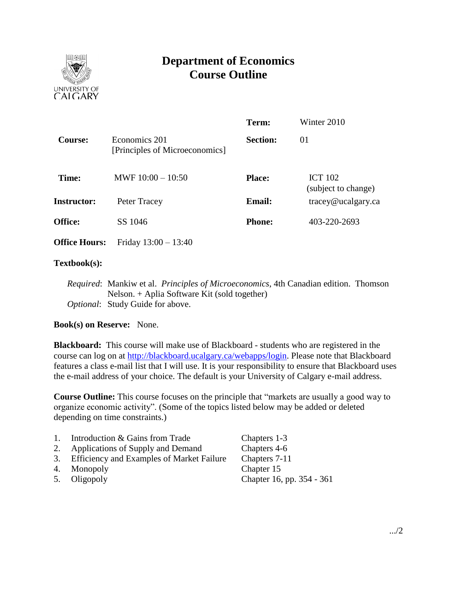

# **Department of Economics Course Outline**

|                      |                                                 | Term:           | Winter 2010                           |  |
|----------------------|-------------------------------------------------|-----------------|---------------------------------------|--|
| <b>Course:</b>       | Economics 201<br>[Principles of Microeconomics] | <b>Section:</b> | 01                                    |  |
| Time:                | MWF $10:00 - 10:50$                             | <b>Place:</b>   | <b>ICT 102</b><br>(subject to change) |  |
| <b>Instructor:</b>   | Peter Tracey                                    | <b>Email:</b>   | $trace\varphi$ ucalgary.ca            |  |
| <b>Office:</b>       | SS 1046                                         | <b>Phone:</b>   | 403-220-2693                          |  |
| <b>Office Hours:</b> | Friday $13:00 - 13:40$                          |                 |                                       |  |
|                      |                                                 |                 |                                       |  |

### **Textbook(s):**

*Required*: Mankiw et al. *Principles of Microeconomics*, 4th Canadian edition. Thomson Nelson. + Aplia Software Kit (sold together) *Optional*: Study Guide for above.

## **Book(s) on Reserve:** None.

**Blackboard:** This course will make use of Blackboard - students who are registered in the course can log on at [http://blackboard.ucalgary.ca/webapps/login.](http://blackboard.ucalgary.ca/webapps/login) Please note that Blackboard features a class e-mail list that I will use. It is your responsibility to ensure that Blackboard uses the e-mail address of your choice. The default is your University of Calgary e-mail address.

**Course Outline:** This course focuses on the principle that "markets are usually a good way to organize economic activity". (Some of the topics listed below may be added or deleted depending on time constraints.)

| Chapter 16, pp. 354 - 361 |
|---------------------------|
|                           |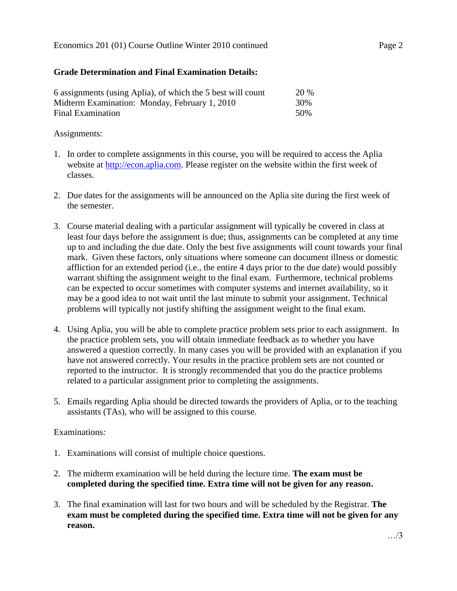## **Grade Determination and Final Examination Details:**

| 6 assignments (using Aplia), of which the 5 best will count |     |  |  |
|-------------------------------------------------------------|-----|--|--|
| Midterm Examination: Monday, February 1, 2010               | 30% |  |  |
| Final Examination                                           | 50% |  |  |

Assignments:

- 1. In order to complete assignments in this course, you will be required to access the Aplia website at [http://econ.aplia.com.](http://econ.aplia.com/) Please register on the website within the first week of classes.
- 2. Due dates for the assignments will be announced on the Aplia site during the first week of the semester.
- 3. Course material dealing with a particular assignment will typically be covered in class at least four days before the assignment is due; thus, assignments can be completed at any time up to and including the due date. Only the best five assignments will count towards your final mark. Given these factors, only situations where someone can document illness or domestic affliction for an extended period (i.e., the entire 4 days prior to the due date) would possibly warrant shifting the assignment weight to the final exam. Furthermore, technical problems can be expected to occur sometimes with computer systems and internet availability, so it may be a good idea to not wait until the last minute to submit your assignment. Technical problems will typically not justify shifting the assignment weight to the final exam.
- 4. Using Aplia, you will be able to complete practice problem sets prior to each assignment. In the practice problem sets, you will obtain immediate feedback as to whether you have answered a question correctly. In many cases you will be provided with an explanation if you have not answered correctly. Your results in the practice problem sets are not counted or reported to the instructor. It is strongly recommended that you do the practice problems related to a particular assignment prior to completing the assignments.
- 5. Emails regarding Aplia should be directed towards the providers of Aplia, or to the teaching assistants (TAs), who will be assigned to this course.

Examinations*:*

- 1. Examinations will consist of multiple choice questions.
- 2. The midterm examination will be held during the lecture time. **The exam must be completed during the specified time. Extra time will not be given for any reason.**
- 3. The final examination will last for two hours and will be scheduled by the Registrar. **The exam must be completed during the specified time. Extra time will not be given for any reason.**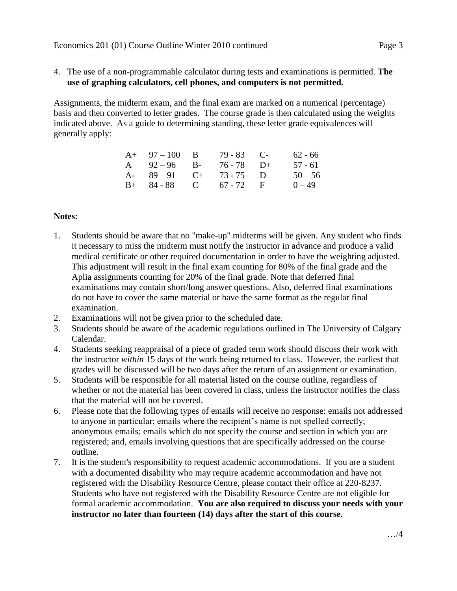4. The use of a non-programmable calculator during tests and examinations is permitted. **The use of graphing calculators, cell phones, and computers is not permitted.**

Assignments, the midterm exam, and the final exam are marked on a numerical (percentage) basis and then converted to letter grades. The course grade is then calculated using the weights indicated above. As a guide to determining standing, these letter grade equivalences will generally apply:

| $A+ 97-100$ B           | $79 - 83$ C- | $62 - 66$ |
|-------------------------|--------------|-----------|
| A $92-96$ B- $76-78$ D+ |              | 57 - 61   |
| A- $89-91$ C+ 73-75 D   |              | $50 - 56$ |
| $B+ 84-88$ C 67 - 72 F  |              | $0 - 49$  |

### **Notes:**

- 1. Students should be aware that no "make-up" midterms will be given. Any student who finds it necessary to miss the midterm must notify the instructor in advance and produce a valid medical certificate or other required documentation in order to have the weighting adjusted. This adjustment will result in the final exam counting for 80% of the final grade and the Aplia assignments counting for 20% of the final grade. Note that deferred final examinations may contain short/long answer questions. Also, deferred final examinations do not have to cover the same material or have the same format as the regular final examination.
- 2. Examinations will not be given prior to the scheduled date.
- 3. Students should be aware of the academic regulations outlined in The University of Calgary Calendar.
- 4. Students seeking reappraisal of a piece of graded term work should discuss their work with the instructor *within* 15 days of the work being returned to class. However, the earliest that grades will be discussed will be two days after the return of an assignment or examination.
- 5. Students will be responsible for all material listed on the course outline, regardless of whether or not the material has been covered in class, unless the instructor notifies the class that the material will not be covered.
- 6. Please note that the following types of emails will receive no response: emails not addressed to anyone in particular; emails where the recipient's name is not spelled correctly; anonymous emails; emails which do not specify the course and section in which you are registered; and, emails involving questions that are specifically addressed on the course outline.
- 7. It is the student's responsibility to request academic accommodations. If you are a student with a documented disability who may require academic accommodation and have not registered with the Disability Resource Centre, please contact their office at 220-8237. Students who have not registered with the Disability Resource Centre are not eligible for formal academic accommodation. **You are also required to discuss your needs with your instructor no later than fourteen (14) days after the start of this course.**